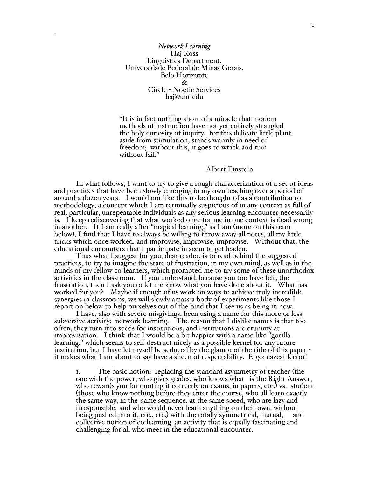*Network Learning* Haj Ross Linguistics Department, Universidade Federal de Minas Gerais, Belo Horizonte & Circle - Noetic Services haj@unt.edu

.

"It is in fact nothing short of a miracle that modern methods of instruction have not yet entirely strangled the holy curiosity of inquiry; for this delicate little plant, aside from stimulation, stands warmly in need of freedom; without this, it goes to wrack and ruin without fail."

## Albert Einstein

In what follows, I want to try to give a rough characterization of a set of ideas and practices that have been slowly emerging in my own teaching over a period of around a dozen years. I would not like this to be thought of as a contribution to methodology, a concept which I am terminally suspicious of in any context as full of real, particular, unrepeatable individuals as any serious learning encounter necessarily is. I keep rediscovering that what worked once for me in one context is dead wrong in another. If I am really after "magical learning," as I am (more on this term below), I find that I have to always be willing to throw away all notes, all my little tricks which once worked, and improvise, improvise, improvise. Without that, the educational encounters that I participate in seem to get leaden.

Thus what I suggest for you, dear reader, is to read behind the suggested practices, to try to imagine the state of frustration, in my own mind, as well as in the minds of my fellow co-learners, which prompted me to try some of these unorthodox activities in the classroom. If you understand, because you too have felt, the frustration, then I ask you to let me know what you have done about it. What has worked for you? Maybe if enough of us work on ways to achieve truly incredible synergies in classrooms, we will slowly amass a body of experiments like those I report on below to help ourselves out of the bind that I see us as being in now.

I have, also with severe misgivings, been using a name for this more or less subversive activity: network learning. The reason that I dislike names is that too often, they turn into seeds for institutions, and institutions are crummy at improvisation. I think that I would be a bit happier with a name like "gorilla learning," which seems to self-destruct nicely as a possible kernel for any future institution, but <sup>I</sup> have let myself be seduced by the glamor of the title of this paper - it makes what <sup>I</sup> am about to say have <sup>a</sup> sheen of respectability. Ergo: caveat lector!

1. The basic notion: replacing the standard asymmetry of teacher (the one with the power, who gives grades, who knows what is the Right Answer, who rewards you for quoting it correctly on exams, in papers, etc.) vs. student (those who know nothing before they enter the course, who all learn exactly the same way, in the same sequence, at the same speed, who are lazy and irresponsible, and who would never learn anything on their own, without being pushed into it, etc., etc.) with the totally symmetrical, mutual, and collective notion of co-learning, an activity that is equally fascinating and challenging for all who meet in the educational encounter.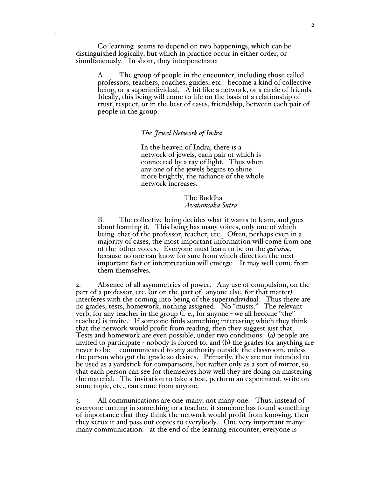Co-learning seems to depend on two happenings, which can be distinguished logically, but which in practice occur in either order, or simultaneously. In short, they interpenetrate:

.

A. The group of people in the encounter, including those called professors, teachers, coaches, guides, etc. become a kind of collective being, or a superindividual. A bit like a network, or a circle of friends. Ideally, this being will come to life on the basis of a relationship of trust, respect, or in the best of cases, friendship, between each pair of people in the group.

## *The Jewel Network of Indra*

In the heaven of Indra, there is a network of jewels, each pair of which is connected by a ray of light. Thus when any one of the jewels begins to shine more brightly, the radiance of the whole network increases.

> The Buddha *Avatamsaka Sutra*

B. The collective being decides what it wants to learn, and goes about learning it. This being has many voices, only one of which being that of the professor, teacher, etc. Often, perhaps even in a majority of cases, the most important information will come from one of the other voices. Everyone must learn to be on the *qui vive*, because no one can know for sure from which direction the next important fact or interpretation will emerge. It may well come from them themselves.

2. Absence of all asymmetries of power. Any use of compulsion, on the part of a professor, etc. (or on the part of anyone else, for that matter) interferes with the coming into being of the superindividual. Thus there are no grades, tests, homework, nothing assigned. No "musts." The relevant verb, for any teacher in the group (i. e., for anyone - we all become "the" teacher) is invite. If someone finds something interesting which they think that the network would profit from reading, then they suggest just that. Tests and homework are even possible, under two conditions: (a) people are invited to participate - nobody is forced to, and (b) the grades for anything are never to be communicated to any authority outside the classroom, unless the person who got the grade so desires. Primarily, they are not intended to be used as a yardstick for comparisons, but rather only as a sort of mirror, so that each person can see for themselves how well they are doing on mastering the material. The invitation to take a test, perform an experiment, write on some topic, etc., can come from anyone.

All communications are one-many, not many-one. Thus, instead of everyone turning in something to a teacher, if someone has found something of importance that they think the network would profit from knowing, then they xerox it and pass out copies to everybody. One very important manymany communication: at the end of the learning encounter, everyone is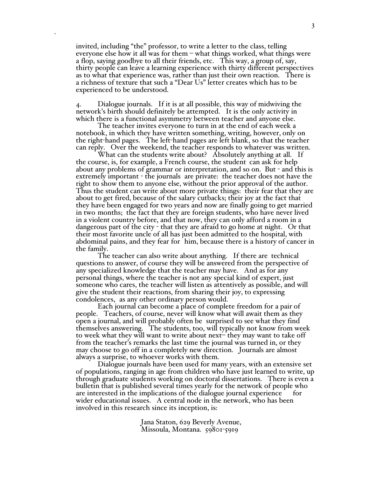invited, including "the" professor, to write a letter to the class, telling everyone else how it all was for them – what things worked, what things were a flop, saying goodbye to all their friends, etc. This way, a group of, say, thirty people can leave a learning experience with thirty different perspectives as to what that experience was, rather than just their own reaction. There is a richness of texture that such a "Dear Us" letter creates which has to be experienced to be understood.

.

4. Dialogue journals. If it is at all possible, this way of midwiving the network's birth should definitely be attempted. It is the only activity in which there is a functional asymmetry between teacher and anyone else.

The teacher invites everyone to turn in at the end of each week a notebook, in which they have written something, writing, however, only on the right-hand pages. The left-hand pages are left blank, so that the teacher can reply. Over the weekend, the teacher responds to whatever was written.

What can the students write about? Absolutely anything at all. If the course, is, for example, a French course, the student can ask for help about any problems of grammar or interpretation, and so on. But - and this is extremely important - the journals are private: the teacher does not have the right to show them to anyone else, without the prior approval of the author. Thus the student can write about more private things: their fear that they are about to get fired, because of the salary cutbacks; their joy at the fact that they have been engaged for two years and now are finally going to get married in two months; the fact that they are foreign students, who have never lived in a violent country before, and that now, they can only afford a room in a dangerous part of the city - that they are afraid to go home at night. Or that their most favorite uncle of all has just been admitted to the hospital, with abdominal pains, and they fear for him, because there is a history of cancer in the family.

The teacher can also write about anything. If there are technical questions to answer, of course they will be answered from the perspective of any specialized knowledge that the teacher may have. And as for any personal things, where the teacher is not any special kind of expert, just someone who cares, the teacher will listen as attentively as possible, and will give the student their reactions, from sharing their joy, to expressing condolences, as any other ordinary person would.

Each journal can become a place of complete freedom for a pair of people. Teachers, of course, never will know what will await them as they open a journal, and will probably often be surprised to see what they find themselves answering. The students, too, will typically not know from week to week what they will want to write about next– they may want to take off from the teacher's remarks the last time the journal was turned in, or they may choose to go off in a completely new direction. Journals are almost always <sup>a</sup> surprise, to whoever works with them. Dialogue journals have been used for many years, with an extensive set

of populations, ranging in age from children who have just learned to write, up through graduate students working on doctoral dissertations. There is even a bulletin that is published several times yearly for the network of people who are interested in the implications of the dialogue journal experience for wider educational issues. A central node in the network, who has been involved in this research since its inception, is:

> Jana Staton, 629 Beverly Avenue, Missoula, Montana. 59801-5919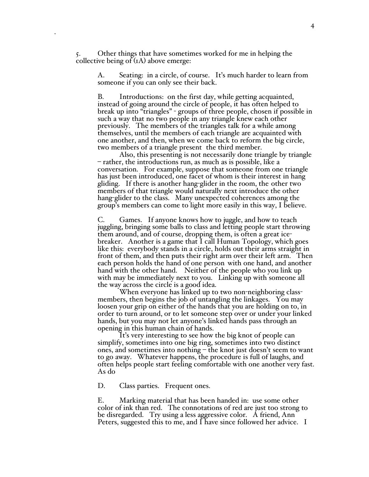5. Other things that have sometimes worked for me in helping the collective being of (1A) above emerge:

.

A. Seating: in a circle, of course. It's much harder to learn from someone if you can only see their back.

B. Introductions: on the first day, while getting acquainted, instead of going around the circle of people, it has often helped to break up into "triangles" - groups of three people, chosen if possible in such a way that no two people in any triangle knew each other previously. The members of the triangles talk for a while among themselves, until the members of each triangle are acquainted with one another, and then, when we come back to reform the big circle, two members of a triangle present the third member.

Also, this presenting is not necessarily done triangle by triangle – rather, the introductions run, as much as is possible, like a conversation. For example, suppose that someone from one triangle has just been introduced, one facet of whom is their interest in hang gliding. If there is another hang-glider in the room, the other two members of that triangle would naturally next introduce the other hang-glider to the class. Many unexpected coherences among the group's members can come to light more easily in this way, I believe.

C. Games. If anyone knows how to juggle, and how to teach juggling, bringing some balls to class and letting people start throwing them around, and of course, dropping them, is often a great icebreaker. Another is a game that I call Human Topology, which goes like this: everybody stands in a circle, holds out their arms straight in front of them, and then puts their right arm over their left arm. Then each person holds the hand of one person with one hand, and another hand with the other hand. Neither of the people who you link up with may be immediately next to you. Linking up with someone all the way across the circle is a good idea.

When everyone has linked up to two non-neighboring classmembers, then begins the job of untangling the linkages. You may loosen your grip on either of the hands that you are holding on to, in order to turn around, or to let someone step over or under your linked hands, but you may not let anyone's linked hands pass through an

It's very interesting to see how the big knot of people can simplify, sometimes into one big ring, sometimes into two distinct ones, and sometimes into nothing – the knot just doesn't seem to want to go away. Whatever happens, the procedure is full of laughs, and often helps people start feeling comfortable with one another very fast. As do

D. Class parties. Frequent ones.

E. Marking material that has been handed in: use some other color of ink than red. The connotations of red are just too strong to be disregarded. Try using a less aggressive color. A friend, Ann Peters, suggested this to me, and I have since followed her advice. I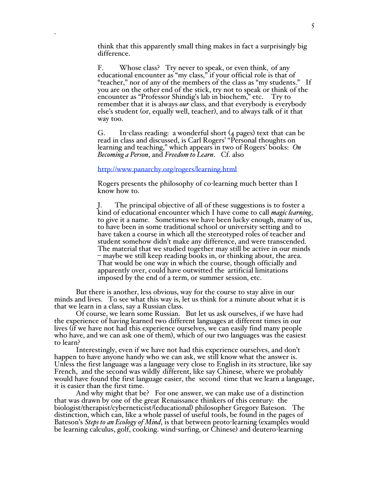think that this apparently small thing makes in fact a surprisingly big difference.

F. Whose class? Try never to speak, or even think, of any educational encounter as "my class," if your official role is that of "teacher," nor of any of the members of the class as "my students." If you are on the other end of the stick, try not to speak or think of the encounter as "Professor Shindig's lab in biochem," etc. Try to remember that it is always *our* class, and that everybody is everybody else's student (or, equally well, teacher), and to always talk of it that way too.

G. In-class reading: a wonderful short (4 pages) text that can be read in class and discussed, is Carl Rogers' "Personal thoughts on learning and teaching," which appears in two of Rogers' books: *On Becoming a Person*, and *Freedom to Learn*. Cf. also

http://www.panarchy.org/rogers/learning.html

.

Rogers presents the philosophy of co-learning much better than I know how to.

J. The principal objective of all of these suggestions is to foster a kind of educational encounter which I have come to call *magic learning*, to give it a name. Sometimes we have been lucky enough, many of us, to have been in some traditional school or university setting and to have taken a course in which all the stereotyped roles of teacher and student somehow didn't make any difference, and were transcended. The material that we studied together may still be active in our minds – maybe we still keep reading books in, or thinking about, the area. That would be one way in which the course, though officially and apparently over, could have outwitted the artificial limitations imposed by the end of a term, or summer session, etc.

But there is another, less obvious, way for the course to stay alive in our minds and lives. To see what this way is, let us think for a minute about what it is that we learn in a class, say a Russian class.

Of course, we learn some Russian. But let us ask ourselves, if we have had the experience of having learned two different languages at different times in our lives (if we have not had this experience ourselves, we can easily find many people who have, and we can ask one of them), which of our two languages was the easiest to learn?

Interestingly, even if we have not had this experience ourselves, and don't happen to have anyone handy who we can ask, we still know what the answer is.<br>Unless the first language was a language very close to English in its structure, like say French, and the second was wildly different, like say Chinese, where we probably would have found the first language easier, the second time that we learn a language, it is easier than the first time.

And why might that be? For one answer, we can make use of a distinction that was drawn by one of the great Renaissance thinkers of this century: the biologist/therapist/cyberneticist/(educational) philosopher Gregory Bateson. The distinction, which can, like a whole passel of useful tools, be found in the pages of Bateson's *Steps to an Ecology of Mind*, is that between proto-learning (examples would be learning calculus, golf, cooking. wind-surfing, or Chinese) and deutero-learning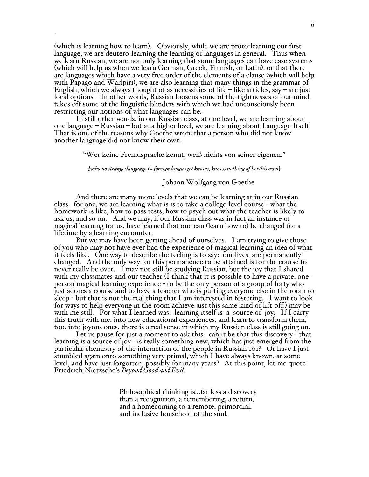(which is learning how to learn). Obviously, while we are proto-learning our first language, we are deutero-learning the learning of languages in general. Thus when we learn Russian, we are not only learning that some languages can have case systems (which will help us when we learn German, Greek, Finnish, or Latin). or that there are languages which have a very free order of the elements of a clause (which will help with Papago and Warlpiri), we are also learning that many things in the grammar of English, which we always thought of as necessities of life – like articles, say – are just local options. In other words, Russian loosens some of the tightnesses of our mind, takes off some of the linguistic blinders with which we had unconsciously been restricting our notions of what languages can be.

.

In still other words, in our Russian class, at one level, we are learning about one language – Russian – but at a higher level, we are learning about Language Itself. That is one of the reasons why Goethe wrote that a person who did not know another language did not know their own.

"Wer keine Fremdsprache kennt, weiß nichts von seiner eigenen."

*[who no strange-language (= foreign language) knows, knows nothing of her/his own*]

## Johann Wolfgang von Goethe

And there are many more levels that we can be learning at in our Russian class: for one, we are learning what is is to take a college-level course - what the homework is like, how to pass tests, how to psych out what the teacher is likely to ask us, and so on. And we may, if our Russian class was in fact an instance of magical learning for us, have learned that one can (learn how to) be changed for a lifetime by a learning encounter.

But we may have been getting ahead of ourselves. I am trying to give those of you who may not have ever had the experience of magical learning an idea of what it feels like. One way to describe the feeling is to say: our lives are permanently changed. And the only way for this permanence to be attained is for the course to never really be over. I may not still be studying Russian, but the joy that I shared with my classmates and our teacher (I think that it is possible to have a private, oneperson magical learning experience - to be the only person of a group of forty who just adores a course and to have a teacher who is putting everyone else in the room to sleep - but that is not the real thing that I am interested in fostering. I want to look for ways to help everyone in the room achieve just this same kind of lift-off.) may be with me still. For what I learned was: learning itself is a source of joy. If I carry this truth with me, into new educational experiences, and learn to transform them, too, into joyous ones, there is a real sense in which my Russian class is still going on.

Let us pause for just a moment to ask this: can it be that this discovery - that learning is a source of joy - is really something new, which has just emerged from the particular chemistry of the interaction of the people in Russian 101? Or have I just stumbled again onto something very primal, which I have always known, at some level, and have just forgotten, possibly for many years? At this point, let me quote Friedrich Nietzsche's *Beyond Good and Evil*:

> Philosophical thinking is...far less a discovery than a recognition, a remembering, a return, and a homecoming to a remote, primordial, and inclusive household of the soul.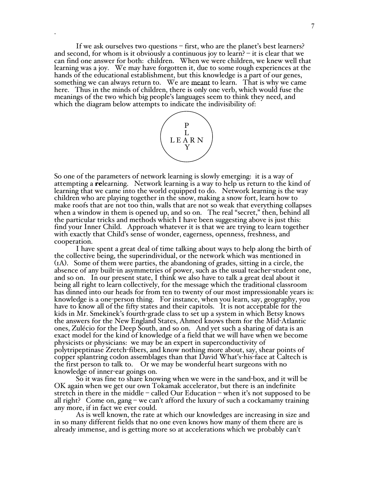If we ask ourselves two questions – first, who are the planet's best learners? and second, for whom is it obviously a continuous joy to learn?  $-$  it is clear that we can find one answer for both: children. When we were children, we knew well that learning was a joy. We may have forgotten it, due to some rough experiences at the hands of the educational establishment, but this knowledge is a part of our genes, something we can always return to. We are meant to learn. That is why we came here. Thus in the minds of children, there is only one verb, which would fuse the meanings of the two which big people's languages seem to think they need, and which the diagram below attempts to indicate the indivisibility of:

.



So one of the parameters of network learning is slowly emerging: it is a way of attempting a relearning. Network learning is a way to help us return to the kind of learning that we came into the world equipped to do. Network learning is the way children who are playing together in the snow, making a snow fort, learn how to make roofs that are not too thin, walls that are not so weak that everything collapses when a window in them is opened up, and so on. The real "secret," then, behind all the particular tricks and methods which I have been suggesting above is just this: find your Inner Child. Approach whatever it is that we are trying to learn together with exactly that Child's sense of wonder, eagerness, openness, freshness, and cooperation.

I have spent a great deal of time talking about ways to help along the birth of the collective being, the superindividual, or the network which was mentioned in (1A). Some of them were parties, the abandoning of grades, sitting in a circle, the absence of any built-in asymmetries of power, such as the usual teacher-student one, and so on. In our present state, I think we also have to talk a great deal about it being all right to learn collectively, for the message which the traditional classroom has dinned into our heads for from ten to twenty of our most impressionable years is: knowledge is a one-person thing. For instance, when you learn, say, geography, you have to know all of the fifty states and their capitols. It is not acceptable for the kids in Mr. Smekinek's fourth-grade class to set up a system in which Betsy knows the answers for the New England States, Ahmed knows them for the Mid-Atlantic ones, Zulécio for the Deep South, and so on. And yet such a sharing of data is an exact model for the kind of knowledge of a field that we will have when we become physicists or physicians: we may be an expert in superconductivity of polytripeptinase Zretch-fibers, and know nothing more about, say, shear points of copper splantring codon assemblages than that David What's-his-face at Caltech is the first person to talk to. Or we may be wonderful heart surgeons with no knowledge of inner-ear goings on.

So it was fine to share knowing when we were in the sand-box, and it will be OK again when we get our own Tokamak accelerator, but there is an indefinite stretch in there in the middle – called Our Education – when it's not supposed to be all right? Come on, gang – we can't afford the luxury of such a cockamamy training any more, if in fact we ever could.

As is well known, the rate at which our knowledges are increasing in size and in so many different fields that no one even knows how many of them there are is already immense, and is getting more so at accelerations which we probably can't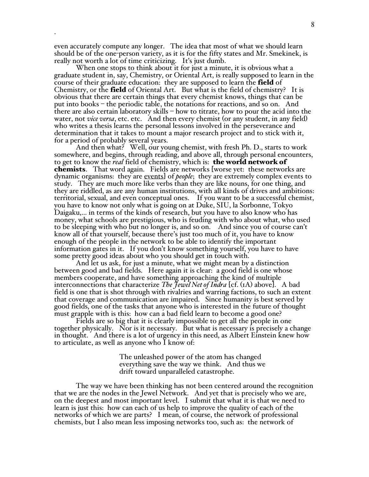even accurately compute any longer. The idea that most of what we should learn should be of the one-person variety, as it is for the fifty states and Mr. Smekinek, is really not worth a lot of time criticizing. It's just dumb.

.

When one stops to think about it for just a minute, it is obvious what a graduate student in, say, Chemistry, or Oriental Art, is really supposed to learn in the course of their graduate education: they are supposed to learn the **field** of Chemistry, or the **field** of Oriental Art. But what is the field of chemistry? It is obvious that there are certain things that every chemist knows, things that can be put into books – the periodic table, the notations for reactions, and so on. And there are also certain laboratory skills – how to titrate, how to pour the acid into the water, not *vice versa*, etc. etc. And then every chemist (or any student, in any field) who writes a thesis learns the personal lessons involved in the perseverance and determination that it takes to mount a major research project and to stick with it, for a period of probably several years.

And then what? Well, our young chemist, with fresh Ph. D., starts to work somewhere, and begins, through reading, and above all, through personal encounters, to get to know the *real* field of chemistry, which is: the world network of chemists. That word again. Fields are networks [worse yet: these networks are dynamic organisms: they are events] of *people*; they are extremely complex events to study. They are much more like verbs than they are like nouns, for one thing, and they are riddled, as are any human institutions, with all kinds of drives and ambitions: territorial, sexual, and even conceptual ones. If you want to be a successful chemist, you have to know not only what is going on at Duke, SIU, la Sorbonne, Tokyo Daigaku,... in terms of the kinds of research, but you have to also know who has money, what schools are prestigious, who is feuding with who about what, who used to be sleeping with who but no longer is, and so on. And since you of course can't know all of that yourself, because there's just too much of it, you have to know enough of the people in the network to be able to identify the important information gates in it. If you don't know something yourself, you have to have some pretty good ideas about who you should get in touch with.

And let us ask, for just a minute, what we might mean by a distinction between good and bad fields. Here again it is clear: a good field is one whose members cooperate, and have something approaching the kind of multiple interconnections that characterize *The Jewel Net of Indra* [cf. (1A) above]. A bad field is one that is shot through with rivalries and warring factions, to such an extent that coverage and communication are impaired. Since humanity is best served by good fields, one of the tasks that anyone who is interested in the future of thought must grapple with is this: how can a bad field learn to become a good one?

Fields are so big that it is clearly impossible to get all the people in one together physically. Nor is it necessary. But what is necessary is precisely a change in thought. And there is a lot of urgency in this need, as Albert Einstein knew how to articulate, as well as anyone who I know of:

> The unleashed power of the atom has changed everything save the way we think. And thus we drift toward unparalleled catastrophe.

The way we have been thinking has not been centered around the recognition that we are the nodes in the Jewel Network. And yet that is precisely who we are, on the deepest and most important level. I submit that what it is that we need to learn is just this: how can each of us help to improve the quality of each of the networks of which we are parts? I mean, of course, the network of professional chemists, but I also mean less imposing networks too, such as: the network of